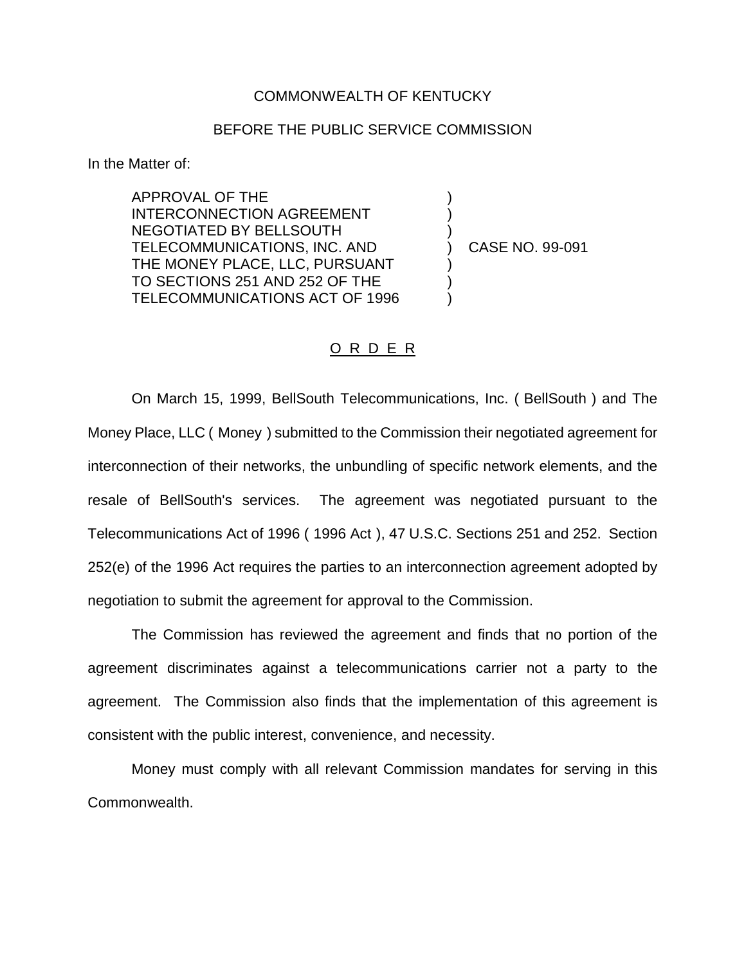## COMMONWEALTH OF KENTUCKY

## BEFORE THE PUBLIC SERVICE COMMISSION

In the Matter of:

APPROVAL OF THE INTERCONNECTION AGREEMENT NEGOTIATED BY BELLSOUTH TELECOMMUNICATIONS, INC. AND THE MONEY PLACE, LLC, PURSUANT TO SECTIONS 251 AND 252 OF THE TELECOMMUNICATIONS ACT OF 1996

) CASE NO. 99-091

) ) )

) ) )

## O R D E R

On March 15, 1999, BellSouth Telecommunications, Inc. ( BellSouth ) and The Money Place, LLC ( Money ) submitted to the Commission their negotiated agreement for interconnection of their networks, the unbundling of specific network elements, and the resale of BellSouth's services. The agreement was negotiated pursuant to the Telecommunications Act of 1996 ( 1996 Act ), 47 U.S.C. Sections 251 and 252. Section 252(e) of the 1996 Act requires the parties to an interconnection agreement adopted by negotiation to submit the agreement for approval to the Commission.

The Commission has reviewed the agreement and finds that no portion of the agreement discriminates against a telecommunications carrier not a party to the agreement. The Commission also finds that the implementation of this agreement is consistent with the public interest, convenience, and necessity.

Money must comply with all relevant Commission mandates for serving in this Commonwealth.